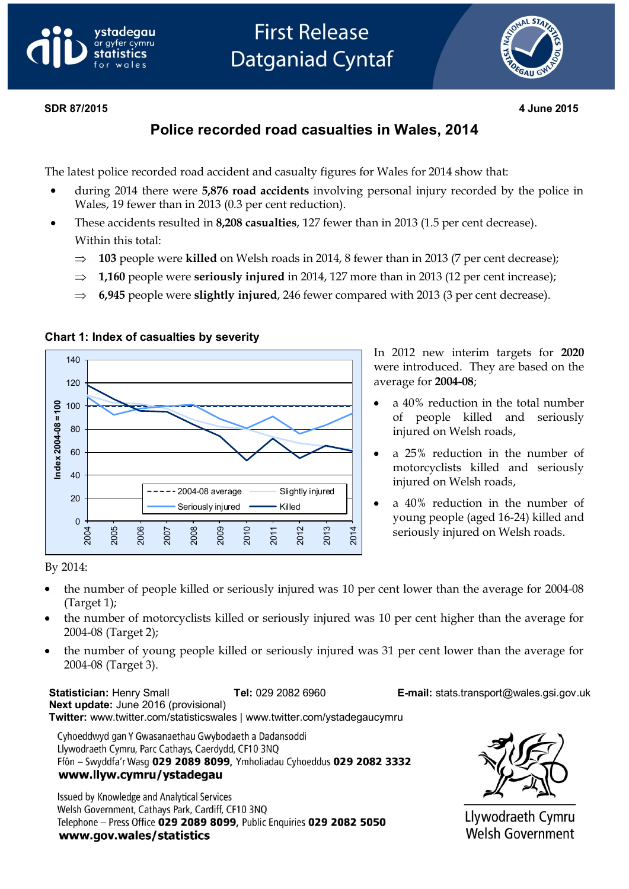



#### **SDR 847/20135 294 June 2015 May 2013**

## **Police recorded road casualties in Wales, 2014**

The latest police recorded road accident and casualty figures for Wales for 2014 show that:

- during 2014 there were **5,876 road accidents** involving personal injury recorded by the police in Wales, 19 fewer than in 2013 (0.3 per cent reduction).
- These accidents resulted in **8,208 casualties**, 127 fewer than in 2013 (1.5 per cent decrease). Within this total:
	- $\Rightarrow$ **103** people were **killed** on Welsh roads in 2014, 8 fewer than in 2013 (7 per cent decrease);
	- $\Rightarrow$ **1,160** people were **seriously injured** in 2014, 127 more than in 2013 (12 per cent increase);
	- $\Rightarrow$  **6,945** people were **slightly injured**, 246 fewer compared with 2013 (3 per cent decrease).



#### **Chart 1: Index of casualties by severity**

In 2012 new interim targets for **2020**  were introduced. They are based on the average for **2004-08**;

- a 40% reduction in the total number of people killed and seriously injured on Welsh roads,
- a 25% reduction in the number of motorcyclists killed and seriously injured on Welsh roads,
- a 40% reduction in the number of young people (aged 16-24) killed and seriously injured on Welsh roads.

#### By 2014:

- the number of people killed or seriously injured was 10 per cent lower than the average for 2004-08  $\bullet$ (Target 1);
- the number of motorcyclists killed or seriously injured was 10 per cent higher than the average for 2004-08 (Target 2);
- the number of young people killed or seriously injured was 31 per cent lower than the average for 2004-08 (Target 3).

**Statistician:** Henry Small **Tel:** 029 2082 6960 **E-mail:** stats.transport@wales.gsi.gov.uk **Next update:** June 2016 (provisional) **Twitter:** www.twitter.com/statisticswales | www.twitter.com/ystadegaucymru

Cyhoeddwyd gan Y Gwasanaethau Gwybodaeth a Dadansoddi Llywodraeth Cymru, Parc Cathays, Caerdydd, CF10 3NQ Ffôn - Swyddfa'r Wasg 029 2089 8099, Ymholiadau Cyhoeddus 029 2082 3332 www.llyw.cymru/ystadegau

Issued by Knowledge and Analytical Services Welsh Government, Cathays Park, Cardiff, CF10 3NQ Telephone - Press Office 029 2089 8099, Public Enquiries 029 2082 5050 www.gov.wales/statistics



Llywodraeth Cymru **Welsh Government**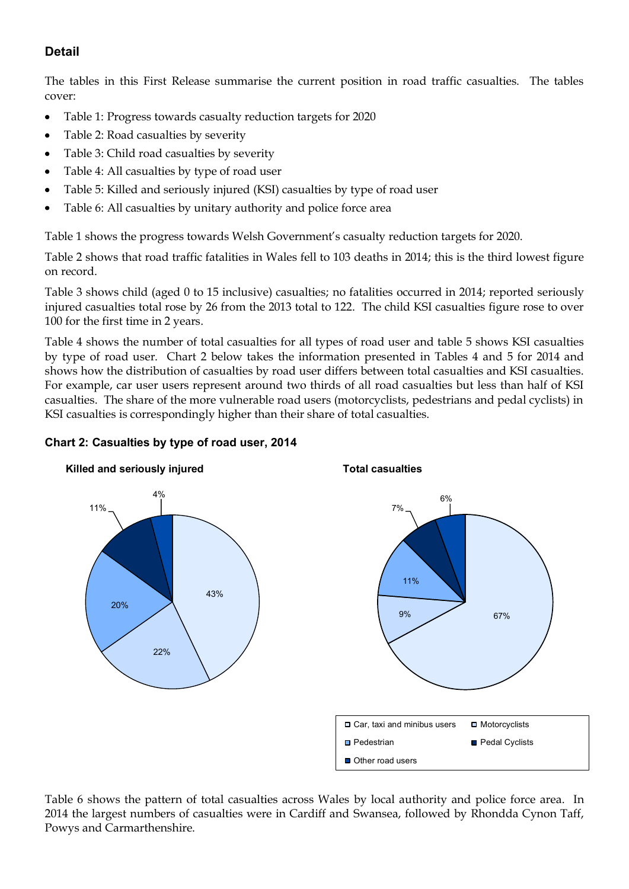## **Detail**

The tables in this First Release summarise the current position in road traffic casualties. The tables cover:

- Table 1: Progress towards casualty reduction targets for 2020  $\bullet$
- Table 2: Road casualties by severity  $\bullet$
- Table 3: Child road casualties by severity  $\bullet$
- Table 4: All casualties by type of road user  $\bullet$
- Table 5: Killed and seriously injured (KSI) casualties by type of road user
- Table 6: All casualties by unitary authority and police force area  $\bullet$

Table 1 shows the progress towards Welsh Government's casualty reduction targets for 2020.

Table 2 shows that road traffic fatalities in Wales fell to 103 deaths in 2014; this is the third lowest figure on record.

Table 3 shows child (aged 0 to 15 inclusive) casualties; no fatalities occurred in 2014; reported seriously injured casualties total rose by 26 from the 2013 total to 122. The child KSI casualties figure rose to over 100 for the first time in 2 years.

Table 4 shows the number of total casualties for all types of road user and table 5 shows KSI casualties by type of road user. Chart 2 below takes the information presented in Tables 4 and 5 for 2014 and shows how the distribution of casualties by road user differs between total casualties and KSI casualties. For example, car user users represent around two thirds of all road casualties but less than half of KSI casualties. The share of the more vulnerable road users (motorcyclists, pedestrians and pedal cyclists) in KSI casualties is correspondingly higher than their share of total casualties.



### **Chart 2: Casualties by type of road user, 2014**

Table 6 shows the pattern of total casualties across Wales by local authority and police force area. In 2014 the largest numbers of casualties were in Cardiff and Swansea, followed by Rhondda Cynon Taff, Powys and Carmarthenshire.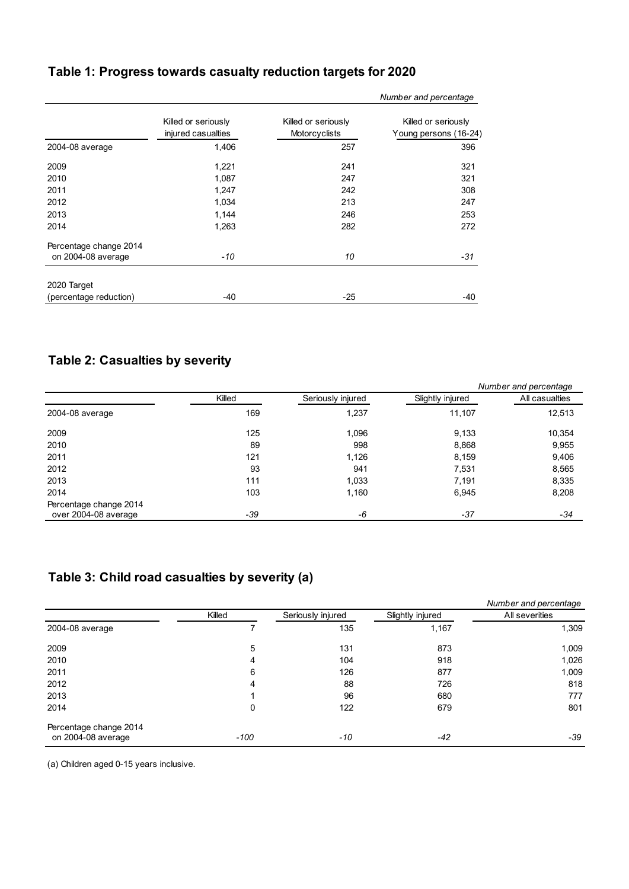# **Table 1: Progress towards casualty reduction targets for 2020**

|                        |                                           |                                      | Number and percentage                        |
|------------------------|-------------------------------------------|--------------------------------------|----------------------------------------------|
|                        | Killed or seriously<br>injured casualties | Killed or seriously<br>Motorcyclists | Killed or seriously<br>Young persons (16-24) |
| 2004-08 average        | 1,406                                     | 257                                  | 396                                          |
| 2009                   | 1,221                                     | 241                                  | 321                                          |
| 2010                   | 1,087                                     | 247                                  | 321                                          |
| 2011                   | 1,247                                     | 242                                  | 308                                          |
| 2012                   | 1,034                                     | 213                                  | 247                                          |
| 2013                   | 1,144                                     | 246                                  | 253                                          |
| 2014                   | 1,263                                     | 282                                  | 272                                          |
| Percentage change 2014 |                                           |                                      |                                              |
| on 2004-08 average     | -10                                       | 10                                   | $-31$                                        |
| 2020 Target            |                                           |                                      |                                              |
| (percentage reduction) | $-40$                                     | $-25$                                | -40                                          |

## **Table 2: Casualties by severity**

|                        |        |                   |                  | Number and percentage |  |
|------------------------|--------|-------------------|------------------|-----------------------|--|
|                        | Killed | Seriously injured | Slightly injured | All casualties        |  |
| 2004-08 average        | 169    | 1,237             | 11,107           | 12,513                |  |
| 2009                   | 125    | 1,096             | 9,133            | 10,354                |  |
| 2010                   | 89     | 998               | 8,868            | 9,955                 |  |
| 2011                   | 121    | 1,126             | 8,159            | 9,406                 |  |
| 2012                   | 93     | 941               | 7,531            | 8,565                 |  |
| 2013                   | 111    | 1,033             | 7,191            | 8,335                 |  |
| 2014                   | 103    | 1,160             | 6,945            | 8,208                 |  |
| Percentage change 2014 |        |                   |                  |                       |  |
| over 2004-08 average   | $-39$  | -6                | -37              | -34                   |  |

## **Table 3: Child road casualties by severity (a)**

|                        |        |                   |                  | Number and percentage |  |
|------------------------|--------|-------------------|------------------|-----------------------|--|
|                        | Killed | Seriously injured | Slightly injured | All severities        |  |
| 2004-08 average        |        | 135               | 1,167            | 1,309                 |  |
| 2009                   | 5      | 131               | 873              | 1,009                 |  |
| 2010                   | 4      | 104               | 918              | 1,026                 |  |
| 2011                   | 6      | 126               | 877              | 1,009                 |  |
| 2012                   | 4      | 88                | 726              | 818                   |  |
| 2013                   |        | 96                | 680              | 777                   |  |
| 2014                   | 0      | 122               | 679              | 801                   |  |
| Percentage change 2014 |        |                   |                  |                       |  |
| on 2004-08 average     | $-100$ | $-10$             | $-42$            | -39                   |  |

(a) Children aged 0-15 years inclusive.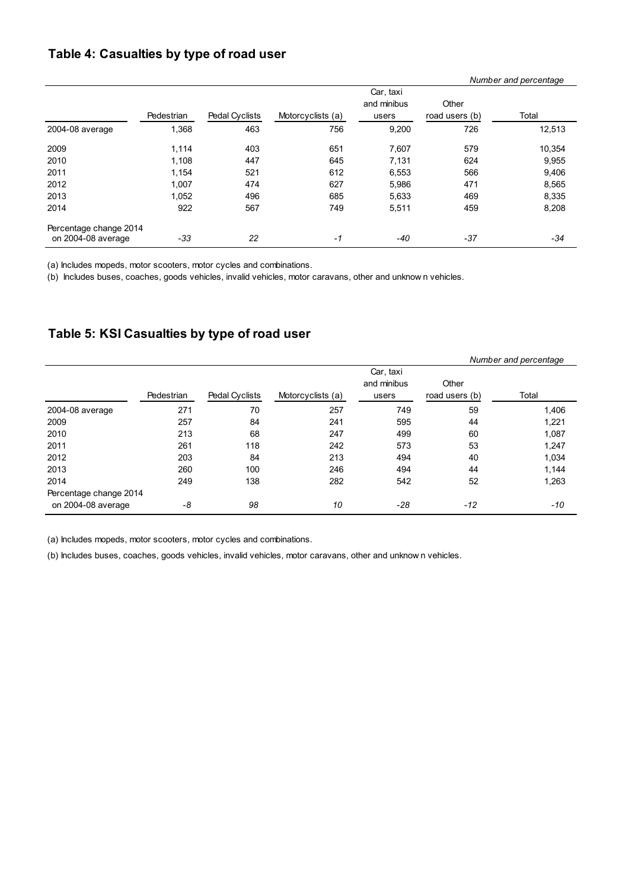### **Table 4: Casualties by type of road user**

|                        |            |                       |                   |                                   | Number and percentage   |        |  |
|------------------------|------------|-----------------------|-------------------|-----------------------------------|-------------------------|--------|--|
|                        | Pedestrian | <b>Pedal Cyclists</b> | Motorcyclists (a) | Car, taxi<br>and minibus<br>users | Other<br>road users (b) | Total  |  |
| 2004-08 average        | 1,368      | 463                   | 756               | 9,200                             | 726                     | 12,513 |  |
| 2009                   | 1,114      | 403                   | 651               | 7,607                             | 579                     | 10,354 |  |
| 2010                   | 1,108      | 447                   | 645               | 7,131                             | 624                     | 9,955  |  |
| 2011                   | 1,154      | 521                   | 612               | 6,553                             | 566                     | 9,406  |  |
| 2012                   | 1,007      | 474                   | 627               | 5,986                             | 471                     | 8,565  |  |
| 2013                   | 1,052      | 496                   | 685               | 5,633                             | 469                     | 8,335  |  |
| 2014                   | 922        | 567                   | 749               | 5,511                             | 459                     | 8,208  |  |
| Percentage change 2014 |            |                       |                   |                                   |                         |        |  |
| on 2004-08 average     | -33        | 22                    | $-1$              | -40                               | $-37$                   | -34    |  |

(a) Includes mopeds, motor scooters, motor cycles and combinations.

(b) Includes buses, coaches, goods vehicles, invalid vehicles, motor caravans, other and unknow n vehicles.

### **Table 5: KSI Casualties by type of road user**

|                        |            |                       |                   |                                   |                         | Number and percentage |
|------------------------|------------|-----------------------|-------------------|-----------------------------------|-------------------------|-----------------------|
|                        | Pedestrian | <b>Pedal Cyclists</b> | Motorcyclists (a) | Car, taxi<br>and minibus<br>users | Other<br>road users (b) | Total                 |
| 2004-08 average        | 271        | 70                    | 257               | 749                               | 59                      | 1,406                 |
| 2009                   | 257        | 84                    | 241               | 595                               | 44                      | 1,221                 |
| 2010                   | 213        | 68                    | 247               | 499                               | 60                      | 1,087                 |
| 2011                   | 261        | 118                   | 242               | 573                               | 53                      | 1,247                 |
| 2012                   | 203        | 84                    | 213               | 494                               | 40                      | 1,034                 |
| 2013                   | 260        | 100                   | 246               | 494                               | 44                      | 1,144                 |
| 2014                   | 249        | 138                   | 282               | 542                               | 52                      | 1,263                 |
| Percentage change 2014 |            |                       |                   |                                   |                         |                       |
| on 2004-08 average     | -8         | 98                    | 10                | -28                               | $-12$                   | -10                   |

(a) Includes mopeds, motor scooters, motor cycles and combinations.

(b) Includes buses, coaches, goods vehicles, invalid vehicles, motor caravans, other and unknow n vehicles.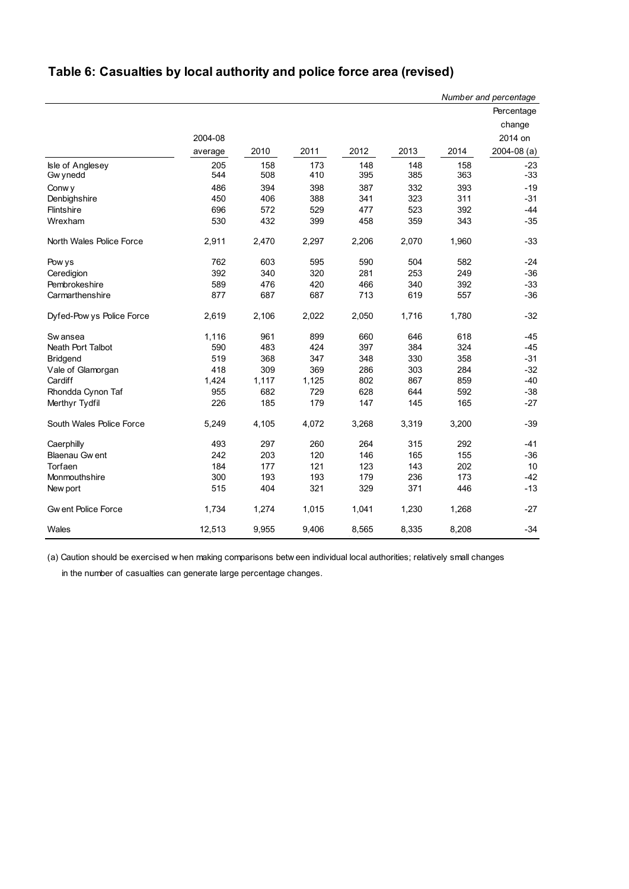# **Table 6: Casualties by local authority and police force area (revised)**

|                           |         |       |       |       |       |       | Number and percentage |
|---------------------------|---------|-------|-------|-------|-------|-------|-----------------------|
|                           |         |       |       |       |       |       | Percentage            |
|                           |         |       |       |       |       |       | change                |
|                           | 2004-08 |       |       |       |       |       | 2014 on               |
|                           | average | 2010  | 2011  | 2012  | 2013  | 2014  | $2004 - 08$ (a)       |
| Isle of Anglesey          | 205     | 158   | 173   | 148   | 148   | 158   | $-23$                 |
| Gw ynedd                  | 544     | 508   | 410   | 395   | 385   | 363   | $-33$                 |
| Conw y                    | 486     | 394   | 398   | 387   | 332   | 393   | $-19$                 |
| Denbighshire              | 450     | 406   | 388   | 341   | 323   | 311   | $-31$                 |
| Flintshire                | 696     | 572   | 529   | 477   | 523   | 392   | $-44$                 |
| Wrexham                   | 530     | 432   | 399   | 458   | 359   | 343   | $-35$                 |
| North Wales Police Force  | 2,911   | 2,470 | 2,297 | 2,206 | 2,070 | 1,960 | $-33$                 |
| Pow ys                    | 762     | 603   | 595   | 590   | 504   | 582   | $-24$                 |
| Ceredigion                | 392     | 340   | 320   | 281   | 253   | 249   | $-36$                 |
| Pembrokeshire             | 589     | 476   | 420   | 466   | 340   | 392   | $-33$                 |
| Carmarthenshire           | 877     | 687   | 687   | 713   | 619   | 557   | $-36$                 |
| Dyfed-Pow ys Police Force | 2,619   | 2,106 | 2,022 | 2,050 | 1,716 | 1,780 | $-32$                 |
| Sw ansea                  | 1,116   | 961   | 899   | 660   | 646   | 618   | $-45$                 |
| Neath Port Talbot         | 590     | 483   | 424   | 397   | 384   | 324   | $-45$                 |
| <b>Bridgend</b>           | 519     | 368   | 347   | 348   | 330   | 358   | $-31$                 |
| Vale of Glamorgan         | 418     | 309   | 369   | 286   | 303   | 284   | $-32$                 |
| Cardiff                   | 1,424   | 1,117 | 1,125 | 802   | 867   | 859   | $-40$                 |
| Rhondda Cynon Taf         | 955     | 682   | 729   | 628   | 644   | 592   | $-38$                 |
| Merthyr Tydfil            | 226     | 185   | 179   | 147   | 145   | 165   | $-27$                 |
| South Wales Police Force  | 5,249   | 4,105 | 4,072 | 3,268 | 3,319 | 3,200 | $-39$                 |
| Caerphilly                | 493     | 297   | 260   | 264   | 315   | 292   | $-41$                 |
| Blaenau Gw ent            | 242     | 203   | 120   | 146   | 165   | 155   | $-36$                 |
| Torfaen                   | 184     | 177   | 121   | 123   | 143   | 202   | 10                    |
| Monmouthshire             | 300     | 193   | 193   | 179   | 236   | 173   | $-42$                 |
| New port                  | 515     | 404   | 321   | 329   | 371   | 446   | $-13$                 |
| <b>Gwent Police Force</b> | 1,734   | 1,274 | 1,015 | 1,041 | 1,230 | 1,268 | $-27$                 |
| Wales                     | 12,513  | 9,955 | 9,406 | 8,565 | 8,335 | 8,208 | $-34$                 |

(a) Caution should be exercised w hen making comparisons betw een individual local authorities; relatively small changes

in the number of casualties can generate large percentage changes.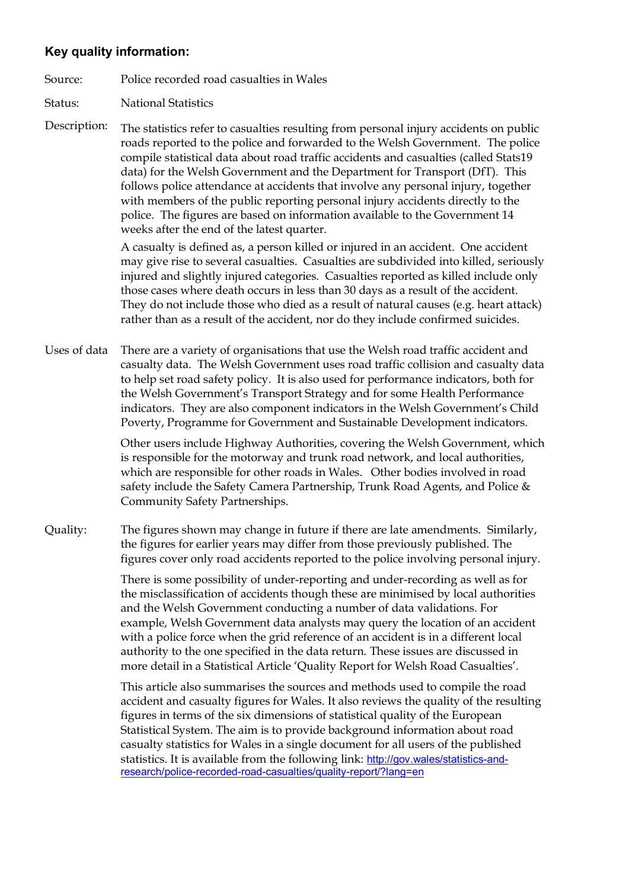### **Key quality information:**

Source: Police recorded road casualties in Wales

Status: National Statistics

Description: The statistics refer to casualties resulting from personal injury accidents on public roads reported to the police and forwarded to the Welsh Government. The police compile statistical data about road traffic accidents and casualties (called Stats19 data) for the Welsh Government and the Department for Transport (DfT). This follows police attendance at accidents that involve any personal injury, together with members of the public reporting personal injury accidents directly to the police. The figures are based on information available to the Government 14 weeks after the end of the latest quarter.

> A casualty is defined as, a person killed or injured in an accident. One accident may give rise to several casualties. Casualties are subdivided into killed, seriously injured and slightly injured categories. Casualties reported as killed include only those cases where death occurs in less than 30 days as a result of the accident. They do not include those who died as a result of natural causes (e.g. heart attack) rather than as a result of the accident, nor do they include confirmed suicides.

Uses of data There are a variety of organisations that use the Welsh road traffic accident and casualty data. The Welsh Government uses road traffic collision and casualty data to help set road safety policy. It is also used for performance indicators, both for the Welsh Government's Transport Strategy and for some Health Performance indicators. They are also component indicators in the Welsh Government's Child Poverty, Programme for Government and Sustainable Development indicators.

> Other users include Highway Authorities, covering the Welsh Government, which is responsible for the motorway and trunk road network, and local authorities, which are responsible for other roads in Wales. Other bodies involved in road safety include the Safety Camera Partnership, Trunk Road Agents, and Police & Community Safety Partnerships.

Quality: The figures shown may change in future if there are late amendments. Similarly, the figures for earlier years may differ from those previously published. The figures cover only road accidents reported to the police involving personal injury.

> There is some possibility of under-reporting and under-recording as well as for the misclassification of accidents though these are minimised by local authorities and the Welsh Government conducting a number of data validations. For example, Welsh Government data analysts may query the location of an accident with a police force when the grid reference of an accident is in a different local authority to the one specified in the data return. These issues are discussed in more detail in a Statistical Article 'Quality Report for Welsh Road Casualties'.

This article also summarises the sources and methods used to compile the road accident and casualty figures for Wales. It also reviews the quality of the resulting figures in terms of the six dimensions of statistical quality of the European Statistical System. The aim is to provide background information about road casualty statistics for Wales in a single document for all users of the published statistics. It is available from the following link: [http://gov.wales/statistics-and](http://gov.wales/statistics-and-research/police-recorded-road-casualties/quality-report/?lang=en)[research/police-recorded-road-casualties/quality-report/?lang=en](http://gov.wales/statistics-and-research/police-recorded-road-casualties/quality-report/?lang=en)